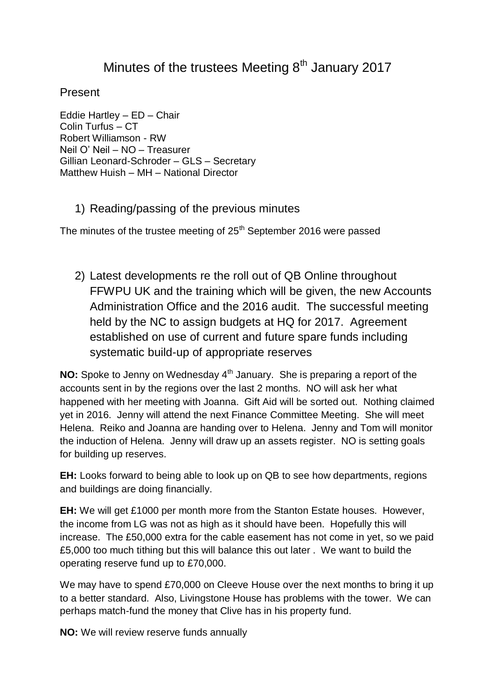## Minutes of the trustees Meeting  $8<sup>th</sup>$  January 2017

Present

Eddie Hartley – ED – Chair Colin Turfus – CT Robert Williamson - RW Neil O' Neil – NO – Treasurer Gillian Leonard-Schroder – GLS – Secretary Matthew Huish – MH – National Director

1) Reading/passing of the previous minutes

The minutes of the trustee meeting of  $25<sup>th</sup>$  September 2016 were passed

2) Latest developments re the roll out of QB Online throughout FFWPU UK and the training which will be given, the new Accounts Administration Office and the 2016 audit. The successful meeting held by the NC to assign budgets at HQ for 2017. Agreement established on use of current and future spare funds including systematic build-up of appropriate reserves

**NO:** Spoke to Jenny on Wednesday 4<sup>th</sup> January. She is preparing a report of the accounts sent in by the regions over the last 2 months. NO will ask her what happened with her meeting with Joanna. Gift Aid will be sorted out. Nothing claimed yet in 2016. Jenny will attend the next Finance Committee Meeting. She will meet Helena. Reiko and Joanna are handing over to Helena. Jenny and Tom will monitor the induction of Helena. Jenny will draw up an assets register. NO is setting goals for building up reserves.

**EH:** Looks forward to being able to look up on QB to see how departments, regions and buildings are doing financially.

**EH:** We will get £1000 per month more from the Stanton Estate houses. However, the income from LG was not as high as it should have been. Hopefully this will increase. The £50,000 extra for the cable easement has not come in yet, so we paid £5,000 too much tithing but this will balance this out later . We want to build the operating reserve fund up to £70,000.

We may have to spend £70,000 on Cleeve House over the next months to bring it up to a better standard. Also, Livingstone House has problems with the tower. We can perhaps match-fund the money that Clive has in his property fund.

**NO:** We will review reserve funds annually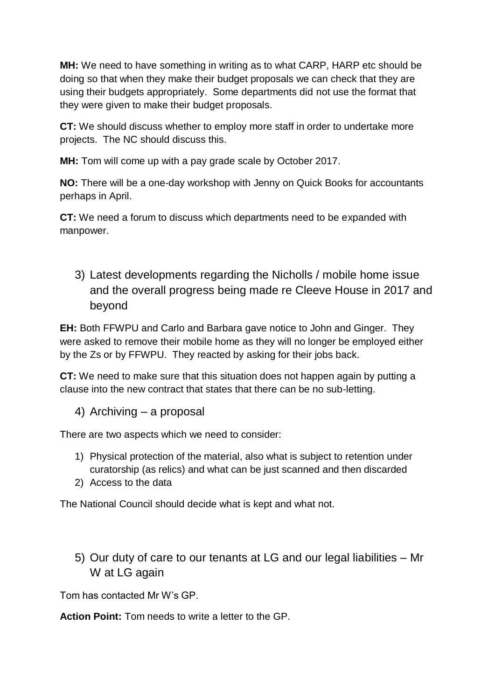**MH:** We need to have something in writing as to what CARP, HARP etc should be doing so that when they make their budget proposals we can check that they are using their budgets appropriately. Some departments did not use the format that they were given to make their budget proposals.

**CT:** We should discuss whether to employ more staff in order to undertake more projects. The NC should discuss this.

**MH:** Tom will come up with a pay grade scale by October 2017.

**NO:** There will be a one-day workshop with Jenny on Quick Books for accountants perhaps in April.

**CT:** We need a forum to discuss which departments need to be expanded with manpower.

3) Latest developments regarding the Nicholls / mobile home issue and the overall progress being made re Cleeve House in 2017 and beyond

**EH:** Both FFWPU and Carlo and Barbara gave notice to John and Ginger. They were asked to remove their mobile home as they will no longer be employed either by the Zs or by FFWPU. They reacted by asking for their jobs back.

**CT:** We need to make sure that this situation does not happen again by putting a clause into the new contract that states that there can be no sub-letting.

4) Archiving – a proposal

There are two aspects which we need to consider:

- 1) Physical protection of the material, also what is subject to retention under curatorship (as relics) and what can be just scanned and then discarded
- 2) Access to the data

The National Council should decide what is kept and what not.

5) Our duty of care to our tenants at LG and our legal liabilities – Mr W at LG again

Tom has contacted Mr W's GP.

**Action Point:** Tom needs to write a letter to the GP.